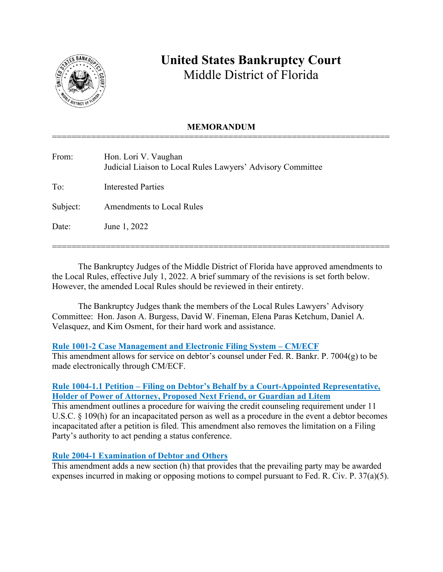

# **United States Bankruptcy Court** Middle District of Florida

## **MEMORANDUM** =====================================================================

| From:    | Hon. Lori V. Vaughan<br>Judicial Liaison to Local Rules Lawyers' Advisory Committee |
|----------|-------------------------------------------------------------------------------------|
| To:      | <b>Interested Parties</b>                                                           |
| Subject: | <b>Amendments to Local Rules</b>                                                    |
| Date:    | June 1, 2022                                                                        |
|          |                                                                                     |

The Bankruptcy Judges of the Middle District of Florida have approved amendments to the Local Rules, effective July 1, 2022. A brief summary of the revisions is set forth below. However, the amended Local Rules should be reviewed in their entirety.

=====================================================================

The Bankruptcy Judges thank the members of the Local Rules Lawyers' Advisory Committee: Hon. Jason A. Burgess, David W. Fineman, Elena Paras Ketchum, Daniel A. Velasquez, and Kim Osment, for their hard work and assistance.

## **Rule 1001-2 Case Management and Electronic Filing System – CM/ECF**

This amendment allows for service on debtor's counsel under Fed. R. Bankr. P. 7004(g) to be made electronically through CM/ECF.

## **Rule 1004-1.1 Petition – Filing on Debtor's Behalf by a Court-Appointed Representative, Holder of Power of Attorney, Proposed Next Friend, or Guardian ad Litem**

This amendment outlines a procedure for waiving the credit counseling requirement under 11 U.S.C. § 109(h) for an incapacitated person as well as a procedure in the event a debtor becomes incapacitated after a petition is filed. This amendment also removes the limitation on a Filing Party's authority to act pending a status conference.

## **Rule 2004-1 Examination of Debtor and Others**

This amendment adds a new section (h) that provides that the prevailing party may be awarded expenses incurred in making or opposing motions to compel pursuant to Fed. R. Civ. P. 37(a)(5).